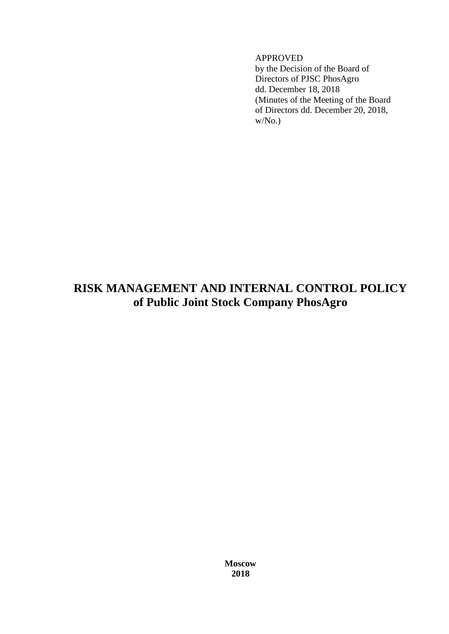# APPROVED

by the Decision of the Board of Directors of PJSC PhosAgro dd. December 18, 2018 (Minutes of the Meeting of the Board of Directors dd. December 20, 2018,  $W/N<sub>0</sub>$ .

# **RISK MANAGEMENT AND INTERNAL CONTROL POLICY of Public Joint Stock Company PhosAgro**

**Moscow 2018**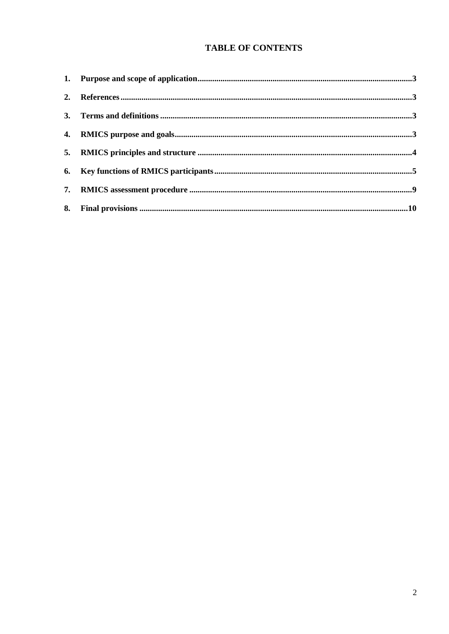# **TABLE OF CONTENTS**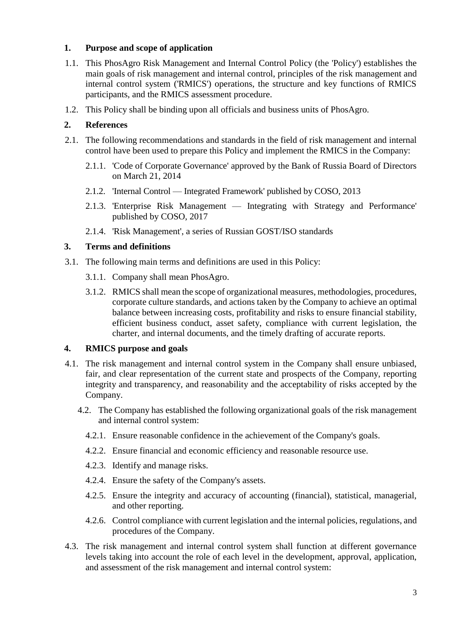# **1. Purpose and scope of application**

- 1.1. This PhosAgro Risk Management and Internal Control Policy (the 'Policy') establishes the main goals of risk management and internal control, principles of the risk management and internal control system ('RMICS') operations, the structure and key functions of RMICS participants, and the RMICS assessment procedure.
- 1.2. This Policy shall be binding upon all officials and business units of PhosAgro.

# **2. References**

- 2.1. The following recommendations and standards in the field of risk management and internal control have been used to prepare this Policy and implement the RMICS in the Company:
	- 2.1.1. 'Code of Corporate Governance' approved by the Bank of Russia Board of Directors on March 21, 2014
	- 2.1.2. 'Internal Control Integrated Framework' published by COSO, 2013
	- 2.1.3. 'Enterprise Risk Management Integrating with Strategy and Performance' published by COSO, 2017
	- 2.1.4. 'Risk Management', a series of Russian GOST/ISO standards

### **3. Terms and definitions**

- 3.1. The following main terms and definitions are used in this Policy:
	- 3.1.1. Company shall mean PhosAgro.
	- 3.1.2. RMICS shall mean the scope of organizational measures, methodologies, procedures, corporate culture standards, and actions taken by the Company to achieve an optimal balance between increasing costs, profitability and risks to ensure financial stability, efficient business conduct, asset safety, compliance with current legislation, the charter, and internal documents, and the timely drafting of accurate reports.

#### **4. RMICS purpose and goals**

- 4.1. The risk management and internal control system in the Company shall ensure unbiased, fair, and clear representation of the current state and prospects of the Company, reporting integrity and transparency, and reasonability and the acceptability of risks accepted by the Company.
	- 4.2. The Company has established the following organizational goals of the risk management and internal control system:
		- 4.2.1. Ensure reasonable confidence in the achievement of the Company's goals.
		- 4.2.2. Ensure financial and economic efficiency and reasonable resource use.
		- 4.2.3. Identify and manage risks.
		- 4.2.4. Ensure the safety of the Company's assets.
		- 4.2.5. Ensure the integrity and accuracy of accounting (financial), statistical, managerial, and other reporting.
		- 4.2.6. Control compliance with current legislation and the internal policies, regulations, and procedures of the Company.
- 4.3. The risk management and internal control system shall function at different governance levels taking into account the role of each level in the development, approval, application, and assessment of the risk management and internal control system: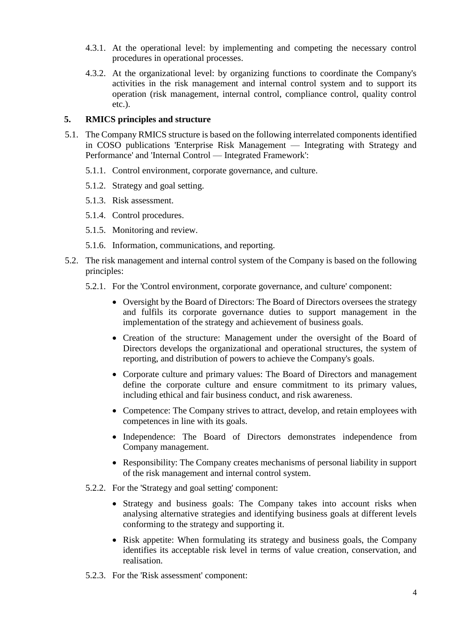- 4.3.1. At the operational level: by implementing and competing the necessary control procedures in operational processes.
- 4.3.2. At the organizational level: by organizing functions to coordinate the Company's activities in the risk management and internal control system and to support its operation (risk management, internal control, compliance control, quality control etc.).

# **5. RMICS principles and structure**

- 5.1. The Company RMICS structure is based on the following interrelated components identified in COSO publications 'Enterprise Risk Management — Integrating with Strategy and Performance' and 'Internal Control — Integrated Framework':
	- 5.1.1. Control environment, corporate governance, and culture.
	- 5.1.2. Strategy and goal setting.
	- 5.1.3. Risk assessment.
	- 5.1.4. Control procedures.
	- 5.1.5. Monitoring and review.
	- 5.1.6. Information, communications, and reporting.
- 5.2. The risk management and internal control system of the Company is based on the following principles:
	- 5.2.1. For the 'Control environment, corporate governance, and culture' component:
		- Oversight by the Board of Directors: The Board of Directors oversees the strategy and fulfils its corporate governance duties to support management in the implementation of the strategy and achievement of business goals.
		- Creation of the structure: Management under the oversight of the Board of Directors develops the organizational and operational structures, the system of reporting, and distribution of powers to achieve the Company's goals.
		- Corporate culture and primary values: The Board of Directors and management define the corporate culture and ensure commitment to its primary values, including ethical and fair business conduct, and risk awareness.
		- Competence: The Company strives to attract, develop, and retain employees with competences in line with its goals.
		- Independence: The Board of Directors demonstrates independence from Company management.
		- Responsibility: The Company creates mechanisms of personal liability in support of the risk management and internal control system.
	- 5.2.2. For the 'Strategy and goal setting' component:
		- Strategy and business goals: The Company takes into account risks when analysing alternative strategies and identifying business goals at different levels conforming to the strategy and supporting it.
		- Risk appetite: When formulating its strategy and business goals, the Company identifies its acceptable risk level in terms of value creation, conservation, and realisation.
	- 5.2.3. For the 'Risk assessment' component: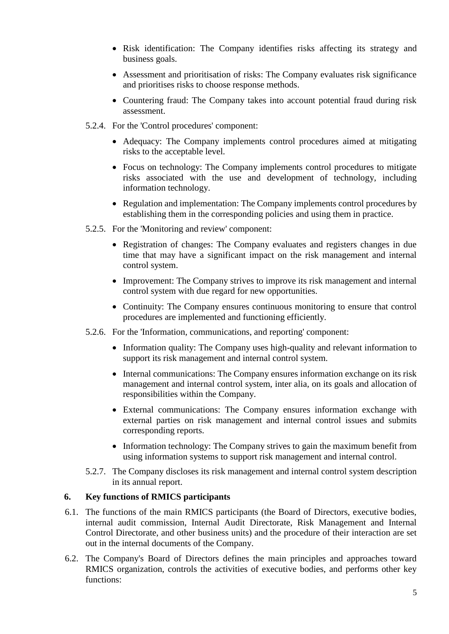- Risk identification: The Company identifies risks affecting its strategy and business goals.
- Assessment and prioritisation of risks: The Company evaluates risk significance and prioritises risks to choose response methods.
- Countering fraud: The Company takes into account potential fraud during risk assessment.
- 5.2.4. For the 'Control procedures' component:
	- Adequacy: The Company implements control procedures aimed at mitigating risks to the acceptable level.
	- Focus on technology: The Company implements control procedures to mitigate risks associated with the use and development of technology, including information technology.
	- Regulation and implementation: The Company implements control procedures by establishing them in the corresponding policies and using them in practice.
- 5.2.5. For the 'Monitoring and review' component:
	- Registration of changes: The Company evaluates and registers changes in due time that may have a significant impact on the risk management and internal control system.
	- Improvement: The Company strives to improve its risk management and internal control system with due regard for new opportunities.
	- Continuity: The Company ensures continuous monitoring to ensure that control procedures are implemented and functioning efficiently.
- 5.2.6. For the 'Information, communications, and reporting' component:
	- Information quality: The Company uses high-quality and relevant information to support its risk management and internal control system.
	- Internal communications: The Company ensures information exchange on its risk management and internal control system, inter alia, on its goals and allocation of responsibilities within the Company.
	- External communications: The Company ensures information exchange with external parties on risk management and internal control issues and submits corresponding reports.
	- Information technology: The Company strives to gain the maximum benefit from using information systems to support risk management and internal control.
- 5.2.7. The Company discloses its risk management and internal control system description in its annual report.

#### **6. Key functions of RMICS participants**

- 6.1. The functions of the main RMICS participants (the Board of Directors, executive bodies, internal audit commission, Internal Audit Directorate, Risk Management and Internal Control Directorate, and other business units) and the procedure of their interaction are set out in the internal documents of the Company.
- 6.2. The Company's Board of Directors defines the main principles and approaches toward RMICS organization, controls the activities of executive bodies, and performs other key functions: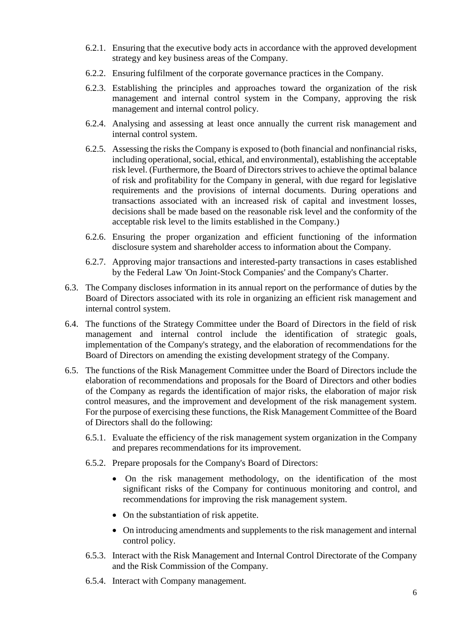- 6.2.1. Ensuring that the executive body acts in accordance with the approved development strategy and key business areas of the Company.
- 6.2.2. Ensuring fulfilment of the corporate governance practices in the Company.
- 6.2.3. Establishing the principles and approaches toward the organization of the risk management and internal control system in the Company, approving the risk management and internal control policy.
- 6.2.4. Analysing and assessing at least once annually the current risk management and internal control system.
- 6.2.5. Assessing the risks the Company is exposed to (both financial and nonfinancial risks, including operational, social, ethical, and environmental), establishing the acceptable risk level. (Furthermore, the Board of Directors strives to achieve the optimal balance of risk and profitability for the Company in general, with due regard for legislative requirements and the provisions of internal documents. During operations and transactions associated with an increased risk of capital and investment losses, decisions shall be made based on the reasonable risk level and the conformity of the acceptable risk level to the limits established in the Company.)
- 6.2.6. Ensuring the proper organization and efficient functioning of the information disclosure system and shareholder access to information about the Company.
- 6.2.7. Approving major transactions and interested-party transactions in cases established by the Federal Law 'On Joint-Stock Companies' and the Company's Charter.
- 6.3. The Company discloses information in its annual report on the performance of duties by the Board of Directors associated with its role in organizing an efficient risk management and internal control system.
- 6.4. The functions of the Strategy Committee under the Board of Directors in the field of risk management and internal control include the identification of strategic goals, implementation of the Company's strategy, and the elaboration of recommendations for the Board of Directors on amending the existing development strategy of the Company.
- 6.5. The functions of the Risk Management Committee under the Board of Directors include the elaboration of recommendations and proposals for the Board of Directors and other bodies of the Company as regards the identification of major risks, the elaboration of major risk control measures, and the improvement and development of the risk management system. For the purpose of exercising these functions, the Risk Management Committee of the Board of Directors shall do the following:
	- 6.5.1. Evaluate the efficiency of the risk management system organization in the Company and prepares recommendations for its improvement.
	- 6.5.2. Prepare proposals for the Company's Board of Directors:
		- On the risk management methodology, on the identification of the most significant risks of the Company for continuous monitoring and control, and recommendations for improving the risk management system.
		- On the substantiation of risk appetite.
		- On introducing amendments and supplements to the risk management and internal control policy.
	- 6.5.3. Interact with the Risk Management and Internal Control Directorate of the Company and the Risk Commission of the Company.
	- 6.5.4. Interact with Company management.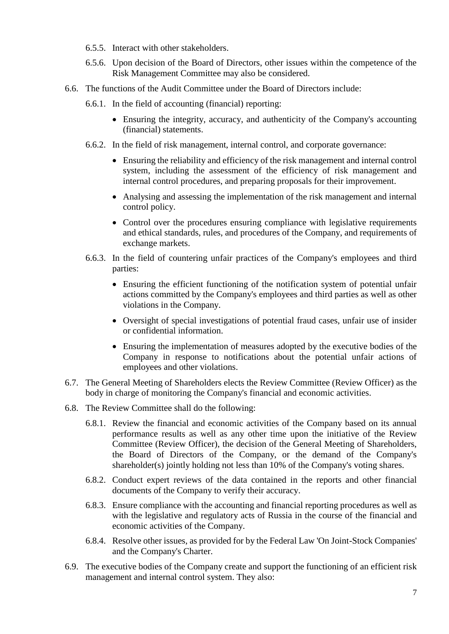- 6.5.5. Interact with other stakeholders.
- 6.5.6. Upon decision of the Board of Directors, other issues within the competence of the Risk Management Committee may also be considered.
- 6.6. The functions of the Audit Committee under the Board of Directors include:
	- 6.6.1. In the field of accounting (financial) reporting:
		- Ensuring the integrity, accuracy, and authenticity of the Company's accounting (financial) statements.
	- 6.6.2. In the field of risk management, internal control, and corporate governance:
		- Ensuring the reliability and efficiency of the risk management and internal control system, including the assessment of the efficiency of risk management and internal control procedures, and preparing proposals for their improvement.
		- Analysing and assessing the implementation of the risk management and internal control policy.
		- Control over the procedures ensuring compliance with legislative requirements and ethical standards, rules, and procedures of the Company, and requirements of exchange markets.
	- 6.6.3. In the field of countering unfair practices of the Company's employees and third parties:
		- Ensuring the efficient functioning of the notification system of potential unfair actions committed by the Company's employees and third parties as well as other violations in the Company.
		- Oversight of special investigations of potential fraud cases, unfair use of insider or confidential information.
		- Ensuring the implementation of measures adopted by the executive bodies of the Company in response to notifications about the potential unfair actions of employees and other violations.
- 6.7. The General Meeting of Shareholders elects the Review Committee (Review Officer) as the body in charge of monitoring the Company's financial and economic activities.
- 6.8. The Review Committee shall do the following:
	- 6.8.1. Review the financial and economic activities of the Company based on its annual performance results as well as any other time upon the initiative of the Review Committee (Review Officer), the decision of the General Meeting of Shareholders, the Board of Directors of the Company, or the demand of the Company's shareholder(s) jointly holding not less than 10% of the Company's voting shares.
	- 6.8.2. Conduct expert reviews of the data contained in the reports and other financial documents of the Company to verify their accuracy.
	- 6.8.3. Ensure compliance with the accounting and financial reporting procedures as well as with the legislative and regulatory acts of Russia in the course of the financial and economic activities of the Company.
	- 6.8.4. Resolve other issues, as provided for by the Federal Law 'On Joint-Stock Companies' and the Company's Charter.
- 6.9. The executive bodies of the Company create and support the functioning of an efficient risk management and internal control system. They also: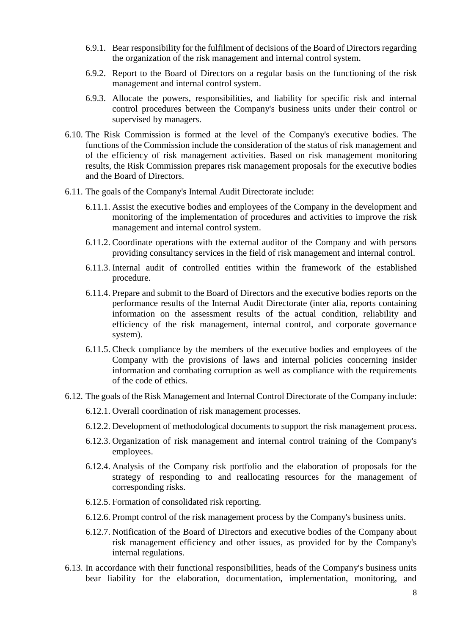- 6.9.1. Bear responsibility for the fulfilment of decisions of the Board of Directors regarding the organization of the risk management and internal control system.
- 6.9.2. Report to the Board of Directors on a regular basis on the functioning of the risk management and internal control system.
- 6.9.3. Allocate the powers, responsibilities, and liability for specific risk and internal control procedures between the Company's business units under their control or supervised by managers.
- 6.10. The Risk Commission is formed at the level of the Company's executive bodies. The functions of the Commission include the consideration of the status of risk management and of the efficiency of risk management activities. Based on risk management monitoring results, the Risk Commission prepares risk management proposals for the executive bodies and the Board of Directors.
- 6.11. The goals of the Company's Internal Audit Directorate include:
	- 6.11.1. Assist the executive bodies and employees of the Company in the development and monitoring of the implementation of procedures and activities to improve the risk management and internal control system.
	- 6.11.2. Coordinate operations with the external auditor of the Company and with persons providing consultancy services in the field of risk management and internal control.
	- 6.11.3. Internal audit of controlled entities within the framework of the established procedure.
	- 6.11.4. Prepare and submit to the Board of Directors and the executive bodies reports on the performance results of the Internal Audit Directorate (inter alia, reports containing information on the assessment results of the actual condition, reliability and efficiency of the risk management, internal control, and corporate governance system).
	- 6.11.5. Check compliance by the members of the executive bodies and employees of the Company with the provisions of laws and internal policies concerning insider information and combating corruption as well as compliance with the requirements of the code of ethics.
- 6.12. The goals of the Risk Management and Internal Control Directorate of the Company include:
	- 6.12.1. Overall coordination of risk management processes.
	- 6.12.2. Development of methodological documents to support the risk management process.
	- 6.12.3. Organization of risk management and internal control training of the Company's employees.
	- 6.12.4. Analysis of the Company risk portfolio and the elaboration of proposals for the strategy of responding to and reallocating resources for the management of corresponding risks.
	- 6.12.5. Formation of consolidated risk reporting.
	- 6.12.6. Prompt control of the risk management process by the Company's business units.
	- 6.12.7. Notification of the Board of Directors and executive bodies of the Company about risk management efficiency and other issues, as provided for by the Company's internal regulations.
- 6.13. In accordance with their functional responsibilities, heads of the Company's business units bear liability for the elaboration, documentation, implementation, monitoring, and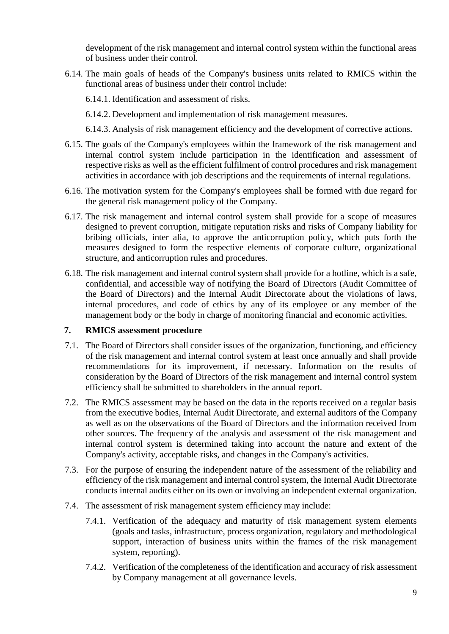development of the risk management and internal control system within the functional areas of business under their control.

- 6.14. The main goals of heads of the Company's business units related to RMICS within the functional areas of business under their control include:
	- 6.14.1. Identification and assessment of risks.
	- 6.14.2. Development and implementation of risk management measures.
	- 6.14.3. Analysis of risk management efficiency and the development of corrective actions.
- 6.15. The goals of the Company's employees within the framework of the risk management and internal control system include participation in the identification and assessment of respective risks as well as the efficient fulfilment of control procedures and risk management activities in accordance with job descriptions and the requirements of internal regulations.
- 6.16. The motivation system for the Company's employees shall be formed with due regard for the general risk management policy of the Company.
- 6.17. The risk management and internal control system shall provide for a scope of measures designed to prevent corruption, mitigate reputation risks and risks of Company liability for bribing officials, inter alia, to approve the anticorruption policy, which puts forth the measures designed to form the respective elements of corporate culture, organizational structure, and anticorruption rules and procedures.
- 6.18. The risk management and internal control system shall provide for a hotline, which is a safe, confidential, and accessible way of notifying the Board of Directors (Audit Committee of the Board of Directors) and the Internal Audit Directorate about the violations of laws, internal procedures, and code of ethics by any of its employee or any member of the management body or the body in charge of monitoring financial and economic activities.

#### **7. RMICS assessment procedure**

- 7.1. The Board of Directors shall consider issues of the organization, functioning, and efficiency of the risk management and internal control system at least once annually and shall provide recommendations for its improvement, if necessary. Information on the results of consideration by the Board of Directors of the risk management and internal control system efficiency shall be submitted to shareholders in the annual report.
- 7.2. The RMICS assessment may be based on the data in the reports received on a regular basis from the executive bodies, Internal Audit Directorate, and external auditors of the Company as well as on the observations of the Board of Directors and the information received from other sources. The frequency of the analysis and assessment of the risk management and internal control system is determined taking into account the nature and extent of the Company's activity, acceptable risks, and changes in the Company's activities.
- 7.3. For the purpose of ensuring the independent nature of the assessment of the reliability and efficiency of the risk management and internal control system, the Internal Audit Directorate conducts internal audits either on its own or involving an independent external organization.
- 7.4. The assessment of risk management system efficiency may include:
	- 7.4.1. Verification of the adequacy and maturity of risk management system elements (goals and tasks, infrastructure, process organization, regulatory and methodological support, interaction of business units within the frames of the risk management system, reporting).
	- 7.4.2. Verification of the completeness of the identification and accuracy of risk assessment by Company management at all governance levels.